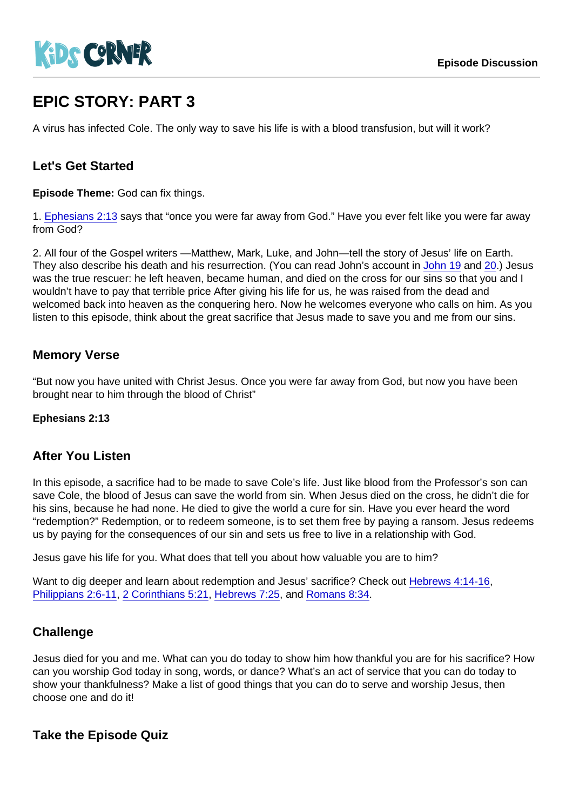# EPIC STORY: PART 3

A virus has infected Cole. The only way to save his life is with a blood transfusion, but will it work?

## Let's Get Started

Episode Theme: God can fix things.

1. [Ephesians 2:13](https://www.biblegateway.com/passage/?search=Ephesians+2:13) says that "once you were far away from God." Have you ever felt like you were far away from God?

2. All four of the Gospel writers —Matthew, Mark, Luke, and John—tell the story of Jesus' life on Earth. They also describe his death and his resurrection. (You can read John's account in [John 19](https://www.biblegateway.com/passage/?search=John+19) and [20.](https://www.biblegateway.com/passage/?search=John+20)) Jesus was the true rescuer: he left heaven, became human, and died on the cross for our sins so that you and I wouldn't have to pay that terrible price After giving his life for us, he was raised from the dead and welcomed back into heaven as the conquering hero. Now he welcomes everyone who calls on him. As you listen to this episode, think about the great sacrifice that Jesus made to save you and me from our sins.

## Memory Verse

"But now you have united with Christ Jesus. Once you were far away from God, but now you have been brought near to him through the blood of Christ"

Ephesians 2:13

### After You Listen

In this episode, a sacrifice had to be made to save Cole's life. Just like blood from the Professor's son can save Cole, the blood of Jesus can save the world from sin. When Jesus died on the cross, he didn't die for his sins, because he had none. He died to give the world a cure for sin. Have you ever heard the word "redemption?" Redemption, or to redeem someone, is to set them free by paying a ransom. Jesus redeems us by paying for the consequences of our sin and sets us free to live in a relationship with God.

Jesus gave his life for you. What does that tell you about how valuable you are to him?

Want to dig deeper and learn about redemption and Jesus' sacrifice? Check out [Hebrews 4:14-16](https://www.biblegateway.com/passage/?search=Hebrews+4:14-16), [Philippians 2:6-11](https://www.biblegateway.com/passage/?search=Philippians+2:6-11), [2 Corinthians 5:21,](https://www.biblegateway.com/passage/?search=2+Corinthians+5:21) [Hebrews 7:25,](https://www.biblegateway.com/passage/?search=Hebrews+7:25) and [Romans 8:34.](https://www.biblegateway.com/passage/?search=Romans+8:34)

## **Challenge**

Jesus died for you and me. What can you do today to show him how thankful you are for his sacrifice? How can you worship God today in song, words, or dance? What's an act of service that you can do today to show your thankfulness? Make a list of good things that you can do to serve and worship Jesus, then choose one and do it!

Take the Episode Quiz